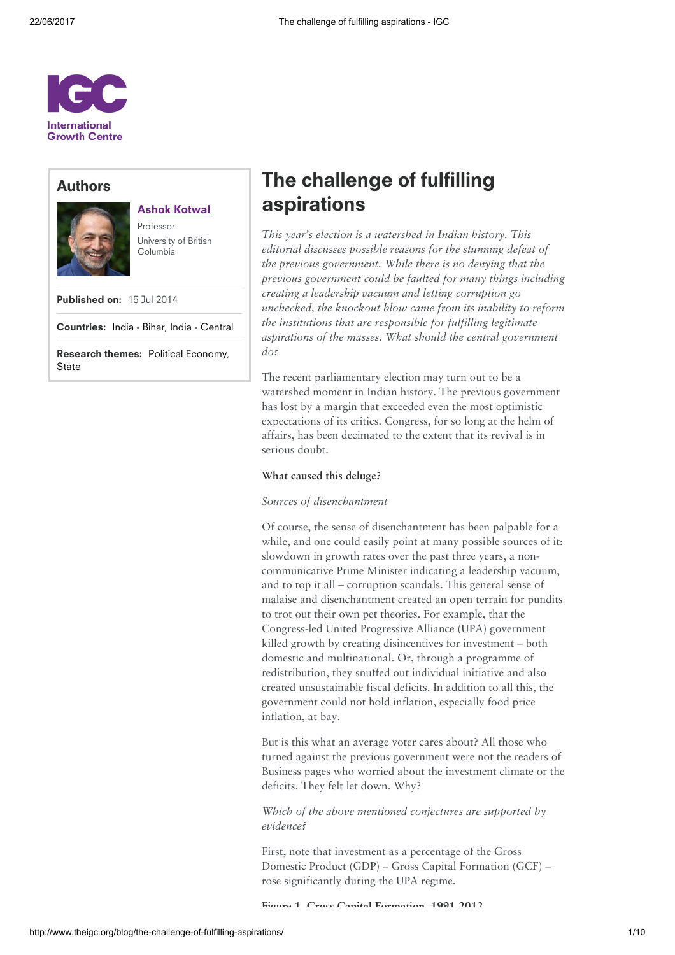

# Authors



## Ashok [Kotwal](http://www.theigc.org/person/ashok-kotwal/)

Professor University of British Columbia

Published on: 15 Jul 2014

Countries: India - [Bihar](http://www.theigc.org/search/?hidden-s&select-country-cat%5B0%5D=india-bihar), India - [Central](http://www.theigc.org/search/?hidden-s&select-country-cat%5B0%5D=india-central)

Research themes: Political [Economy](http://www.theigc.org/search/?hidden-s&select-research-themes%5B0%5D=political-economy), **[State](http://www.theigc.org/search/?hidden-s&select-research-themes%5B0%5D=state)** 

# The challenge of fulfilling aspirations

This year's election is a watershed in Indian history. This editorial discusses possible reasons for the stunning defeat of the previous government. While there is no denying that the previous government could be faulted for many things including creating a leadership vacuum and letting corruption go unchecked, the knockout blow came from its inability to reform the institutions that are responsible for fulfilling legitimate aspirations of the masses. What should the central government do?

The recent parliamentary election may turn out to be a watershed moment in Indian history. The previous government has lost by a margin that exceeded even the most optimistic expectations of its critics. Congress, for so long at the helm of affairs, has been decimated to the extent that its revival is in serious doubt.

## What caused this deluge?

## Sources of disenchantment

Of course, the sense of disenchantment has been palpable for a while, and one could easily point at many possible sources of it: slowdown in growth rates over the past three years, a noncommunicative Prime Minister indicating a leadership vacuum, and to top it all – corruption scandals. This general sense of malaise and disenchantment created an open terrain for pundits to trot out their own pet theories. For example, that the Congress-led United Progressive Alliance (UPA) government killed growth by creating disincentives for investment – both domestic and multinational. Or, through a programme of redistribution, they snuffed out individual initiative and also created unsustainable fiscal deficits. In addition to all this, the government could not hold inflation, especially food price inflation, at bay.

But is this what an average voter cares about? All those who turned against the previous government were not the readers of Business pages who worried about the investment climate or the deficits. They felt let down. Why?

Which of the above mentioned conjectures are supported by evidence?

First, note that investment as a percentage of the Gross Domestic Product (GDP) – Gross Capital Formation (GCF) – rose significantly during the UPA regime.

Figure 1. Gross Capital Formation, 1991-2012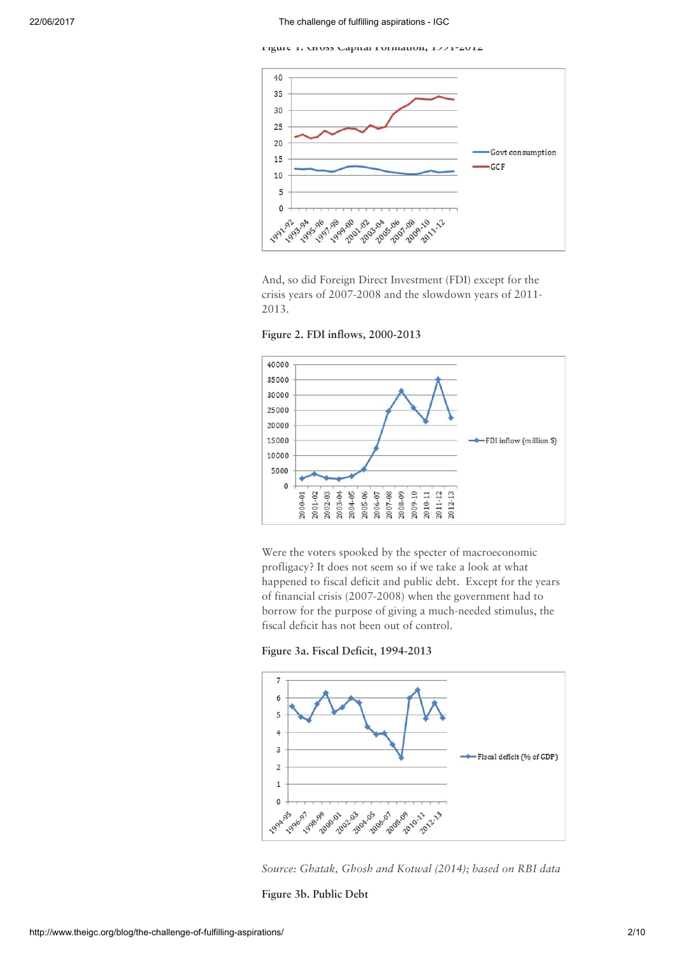Figure 1. Gross Capital Formation, 1991-2012



And, so did Foreign Direct Investment (FDI) except for the crisis years of 2007-2008 and the slowdown years of 2011- 2013.

Figure 2. FDI inflows, 2000-2013



Were the voters spooked by the specter of macroeconomic profligacy? It does not seem so if we take a look at what happened to fiscal deficit and public debt. Except for the years of financial crisis (2007-2008) when the government had to borrow for the purpose of giving a much-needed stimulus, the fiscal deficit has not been out of control.





Source: Ghatak, Ghosh and Kotwal (2014); based on RBI data

Figure 3b. Public Debt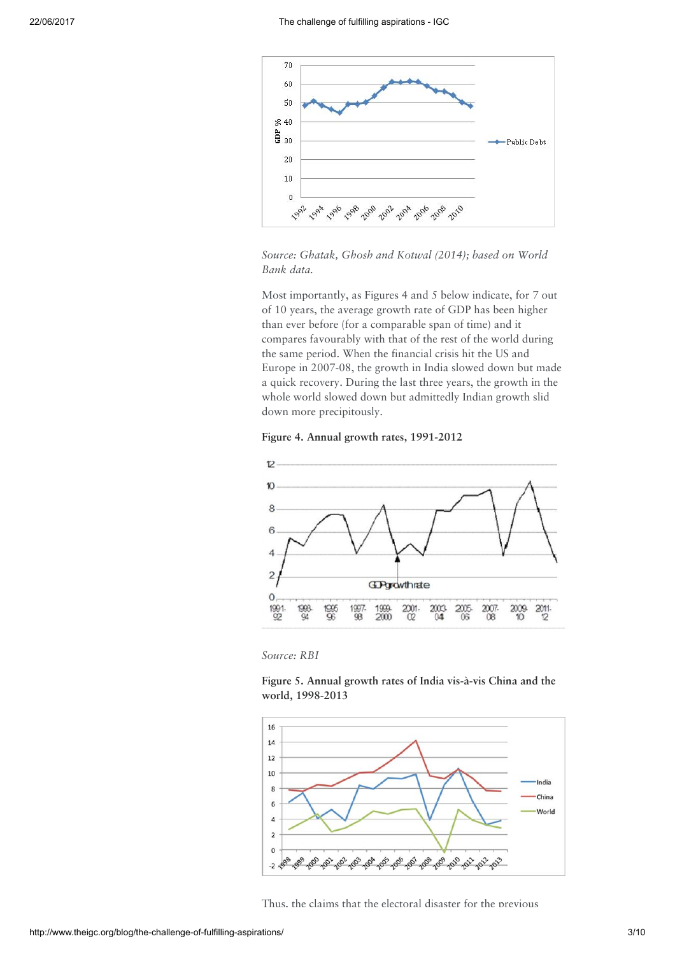

Source: Ghatak, Ghosh and Kotwal (2014); based on World Bank data.

Most importantly, as Figures 4 and 5 below indicate, for 7 out of 10 years, the average growth rate of GDP has been higher than ever before (for a comparable span of time) and it compares favourably with that of the rest of the world during the same period. When the financial crisis hit the US and Europe in 2007-08, the growth in India slowed down but made a quick recovery. During the last three years, the growth in the whole world slowed down but admittedly Indian growth slid down more precipitously.





Source: RBI

Figure 5. Annual growth rates of India vis-à-vis China and the world, 1998-2013



Thus, the claims that the electoral disaster for the previous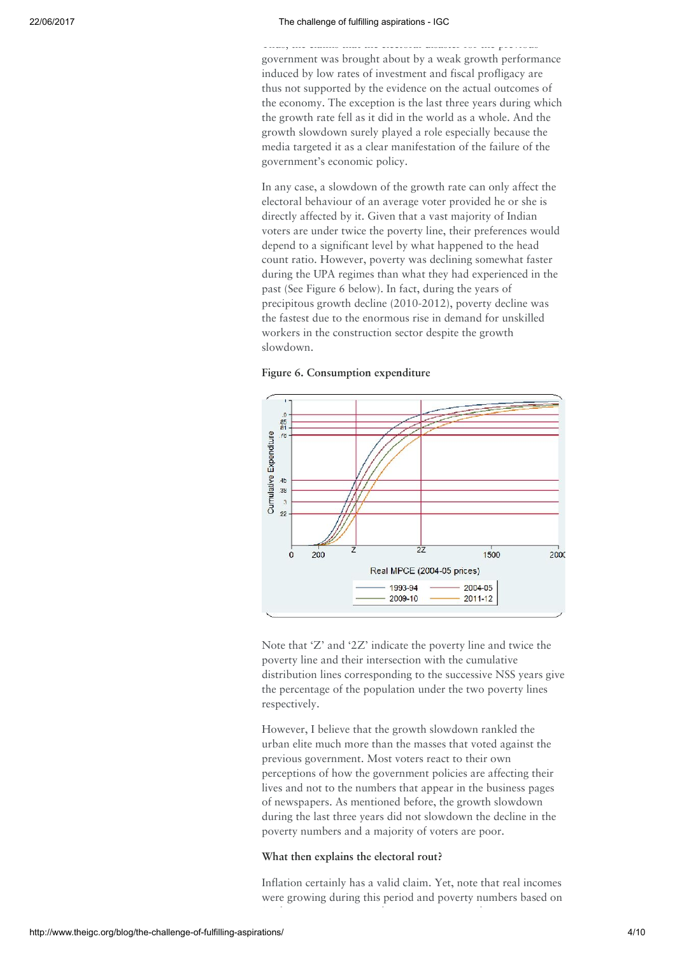Thus, the claims that the electoral disaster for the previous government was brought about by a weak growth performance induced by low rates of investment and fiscal profligacy are thus not supported by the evidence on the actual outcomes of the economy. The exception is the last three years during which the growth rate fell as it did in the world as a whole. And the growth slowdown surely played a role especially because the media targeted it as a clear manifestation of the failure of the government's economic policy.

In any case, a slowdown of the growth rate can only affect the electoral behaviour of an average voter provided he or she is directly affected by it. Given that a vast majority of Indian voters are under twice the poverty line, their preferences would depend to a significant level by what happened to the head count ratio. However, poverty was declining somewhat faster during the UPA regimes than what they had experienced in the past (See Figure 6 below). In fact, during the years of precipitous growth decline (2010-2012), poverty decline was the fastest due to the enormous rise in demand for unskilled workers in the construction sector despite the growth slowdown.





Note that 'Z' and '2Z' indicate the poverty line and twice the poverty line and their intersection with the cumulative distribution lines corresponding to the successive NSS years give the percentage of the population under the two poverty lines respectively.

However, I believe that the growth slowdown rankled the urban elite much more than the masses that voted against the previous government. Most voters react to their own perceptions of how the government policies are affecting their lives and not to the numbers that appear in the business pages of newspapers. As mentioned before, the growth slowdown during the last three years did not slowdown the decline in the poverty numbers and a majority of voters are poor.

## What then explains the electoral rout?

Inflation certainly has a valid claim. Yet, note that real incomes were growing during this period and poverty numbers based on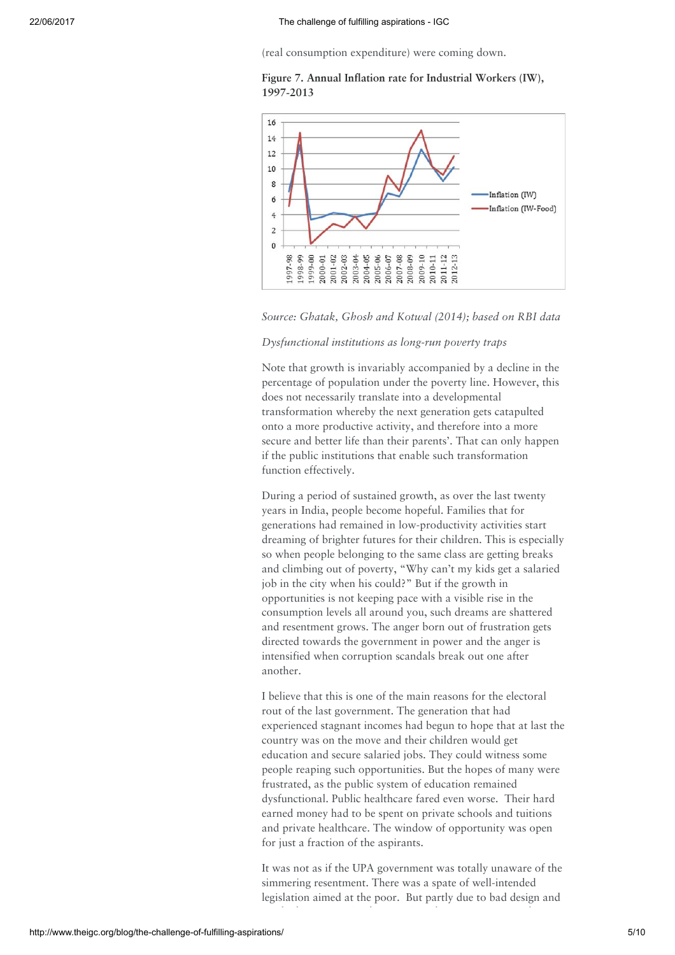(real consumption expenditure) were coming down.





Source: Ghatak, Ghosh and Kotwal (2014); based on RBI data

#### Dysfunctional institutions as long-run poverty traps

Note that growth is invariably accompanied by a decline in the percentage of population under the poverty line. However, this does not necessarily translate into a developmental transformation whereby the next generation gets catapulted onto a more productive activity, and therefore into a more secure and better life than their parents'. That can only happen if the public institutions that enable such transformation function effectively.

During a period of sustained growth, as over the last twenty years in India, people become hopeful. Families that for generations had remained in low-productivity activities start dreaming of brighter futures for their children. This is especially so when people belonging to the same class are getting breaks and climbing out of poverty, "Why can't my kids get a salaried job in the city when his could?" But if the growth in opportunities is not keeping pace with a visible rise in the consumption levels all around you, such dreams are shattered and resentment grows. The anger born out of frustration gets directed towards the government in power and the anger is intensified when corruption scandals break out one after another.

I believe that this is one of the main reasons for the electoral rout of the last government. The generation that had experienced stagnant incomes had begun to hope that at last the country was on the move and their children would get education and secure salaried jobs. They could witness some people reaping such opportunities. But the hopes of many were frustrated, as the public system of education remained dysfunctional. Public healthcare fared even worse. Their hard earned money had to be spent on private schools and tuitions and private healthcare. The window of opportunity was open for just a fraction of the aspirants.

It was not as if the UPA government was totally unaware of the simmering resentment. There was a spate of well-intended legislation aimed at the poor. But partly due to bad design and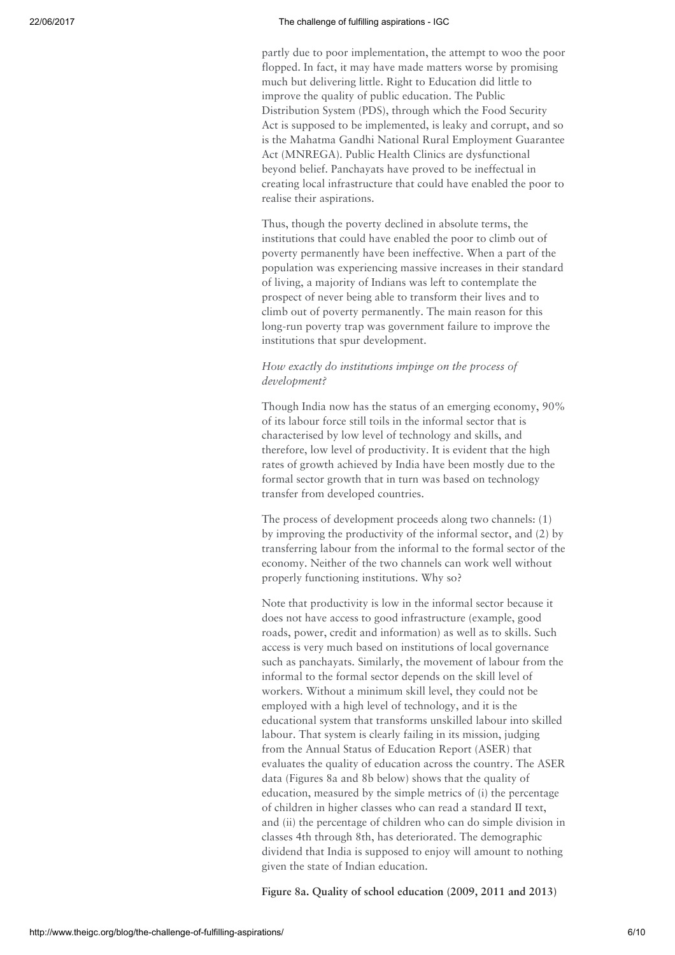## 22/06/2017 The challenge of fulfilling aspirations - IGC

partly due to poor implementation, the attempt to woo the poor flopped. In fact, it may have made matters worse by promising much but delivering little. Right to Education did little to improve the quality of public education. The Public Distribution System (PDS), through which the Food Security Act is supposed to be implemented, is leaky and corrupt, and so is the Mahatma Gandhi National Rural Employment Guarantee Act (MNREGA). Public Health Clinics are dysfunctional beyond belief. Panchayats have proved to be ineffectual in creating local infrastructure that could have enabled the poor to realise their aspirations.

Thus, though the poverty declined in absolute terms, the institutions that could have enabled the poor to climb out of poverty permanently have been ineffective. When a part of the population was experiencing massive increases in their standard of living, a majority of Indians was left to contemplate the prospect of never being able to transform their lives and to climb out of poverty permanently. The main reason for this long-run poverty trap was government failure to improve the institutions that spur development.

## How exactly do institutions impinge on the process of development?

Though India now has the status of an emerging economy, 90% of its labour force still toils in the informal sector that is characterised by low level of technology and skills, and therefore, low level of productivity. It is evident that the high rates of growth achieved by India have been mostly due to the formal sector growth that in turn was based on technology transfer from developed countries.

The process of development proceeds along two channels: (1) by improving the productivity of the informal sector, and (2) by transferring labour from the informal to the formal sector of the economy. Neither of the two channels can work well without properly functioning institutions. Why so?

Note that productivity is low in the informal sector because it does not have access to good infrastructure (example, good roads, power, credit and information) as well as to skills. Such access is very much based on institutions of local governance such as panchayats. Similarly, the movement of labour from the informal to the formal sector depends on the skill level of workers. Without a minimum skill level, they could not be employed with a high level of technology, and it is the educational system that transforms unskilled labour into skilled labour. That system is clearly failing in its mission, judging from the Annual Status of Education Report (ASER) that evaluates the quality of education across the country. The ASER data (Figures 8a and 8b below) shows that the quality of education, measured by the simple metrics of (i) the percentage of children in higher classes who can read a standard II text, and (ii) the percentage of children who can do simple division in classes 4th through 8th, has deteriorated. The demographic dividend that India is supposed to enjoy will amount to nothing given the state of Indian education.

Figure 8a. Quality of school education (2009, 2011 and 2013)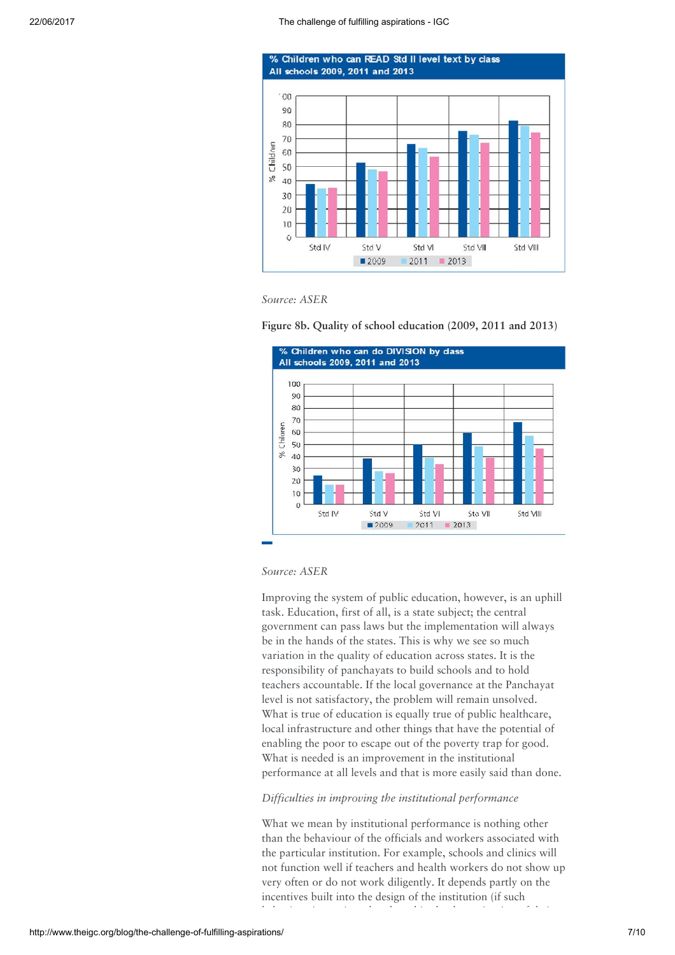







## Source: ASER

Improving the system of public education, however, is an uphill task. Education, first of all, is a state subject; the central government can pass laws but the implementation will always be in the hands of the states. This is why we see so much variation in the quality of education across states. It is the responsibility of panchayats to build schools and to hold teachers accountable. If the local governance at the Panchayat level is not satisfactory, the problem will remain unsolved. What is true of education is equally true of public healthcare, local infrastructure and other things that have the potential of enabling the poor to escape out of the poverty trap for good. What is needed is an improvement in the institutional performance at all levels and that is more easily said than done.

## Difficulties in improving the institutional performance

What we mean by institutional performance is nothing other than the behaviour of the officials and workers associated with the particular institution. For example, schools and clinics will not function well if teachers and health workers do not show up very often or do not work diligently. It depends partly on the incentives built into the design of the institution (if such behaviour is monitored and used in the determination of their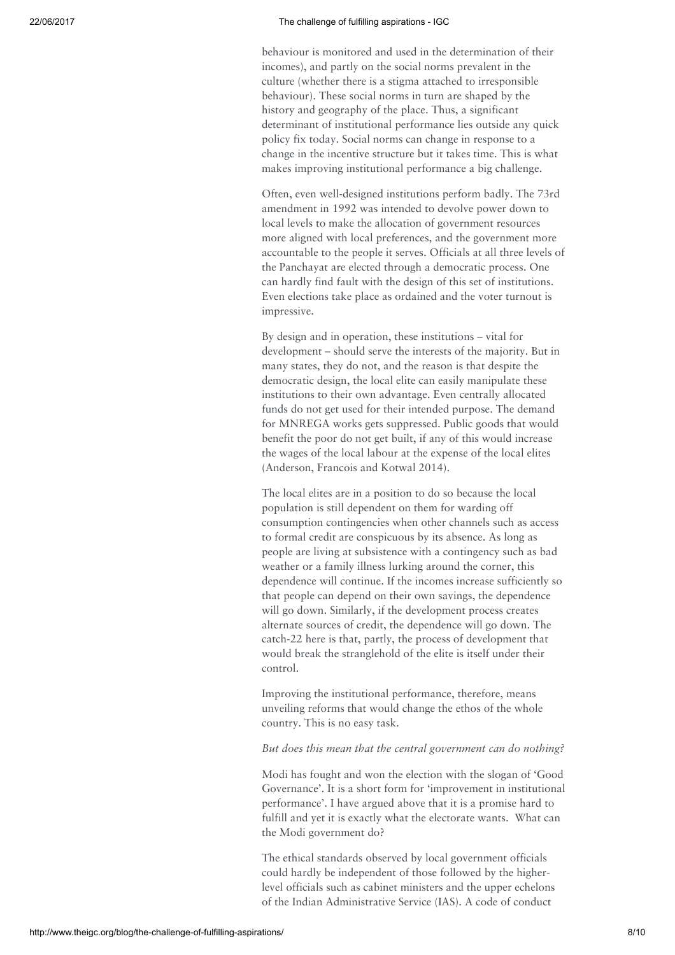## 22/06/2017 The challenge of fulfilling aspirations - IGC

behaviour is monitored and used in the determination of their incomes), and partly on the social norms prevalent in the culture (whether there is a stigma attached to irresponsible behaviour). These social norms in turn are shaped by the history and geography of the place. Thus, a significant determinant of institutional performance lies outside any quick policy fix today. Social norms can change in response to a change in the incentive structure but it takes time. This is what makes improving institutional performance a big challenge.

Often, even well-designed institutions perform badly. The 73rd amendment in 1992 was intended to devolve power down to local levels to make the allocation of government resources more aligned with local preferences, and the government more accountable to the people it serves. Officials at all three levels of the Panchayat are elected through a democratic process. One can hardly find fault with the design of this set of institutions. Even elections take place as ordained and the voter turnout is impressive.

By design and in operation, these institutions – vital for development – should serve the interests of the majority. But in many states, they do not, and the reason is that despite the democratic design, the local elite can easily manipulate these institutions to their own advantage. Even centrally allocated funds do not get used for their intended purpose. The demand for MNREGA works gets suppressed. Public goods that would benefit the poor do not get built, if any of this would increase the wages of the local labour at the expense of the local elites (Anderson, Francois and Kotwal 2014).

The local elites are in a position to do so because the local population is still dependent on them for warding off consumption contingencies when other channels such as access to formal credit are conspicuous by its absence. As long as people are living at subsistence with a contingency such as bad weather or a family illness lurking around the corner, this dependence will continue. If the incomes increase sufficiently so that people can depend on their own savings, the dependence will go down. Similarly, if the development process creates alternate sources of credit, the dependence will go down. The catch-22 here is that, partly, the process of development that would break the stranglehold of the elite is itself under their control.

Improving the institutional performance, therefore, means unveiling reforms that would change the ethos of the whole country. This is no easy task.

#### But does this mean that the central government can do nothing?

Modi has fought and won the election with the slogan of 'Good Governance'. It is a short form for 'improvement in institutional performance'. I have argued above that it is a promise hard to fulfill and yet it is exactly what the electorate wants. What can the Modi government do?

The ethical standards observed by local government officials could hardly be independent of those followed by the higherlevel officials such as cabinet ministers and the upper echelons of the Indian Administrative Service (IAS). A code of conduct